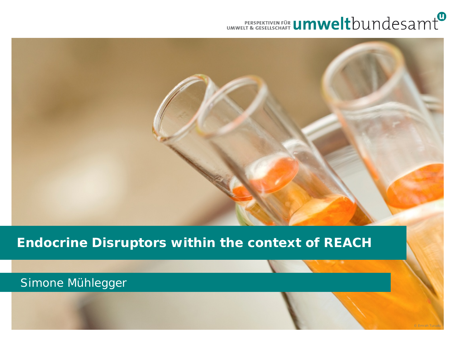## UMWELT & GESPEKTIVEN FÜR UMWeltbUndesamt

#### **Endocrine Disruptors within the context of REACH**

#### Simone Mühlegger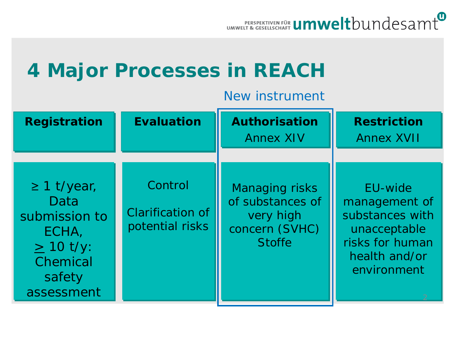

## **4 Major Processes in REACH**

#### New instrument

| <b>Registration</b>                                                                                      | <b>Evaluation</b>                                     | <b>Authorisation</b><br><b>Annex XIV</b>                                                  | <b>Restriction</b><br><b>Annex XVII</b>                                                                        |
|----------------------------------------------------------------------------------------------------------|-------------------------------------------------------|-------------------------------------------------------------------------------------------|----------------------------------------------------------------------------------------------------------------|
|                                                                                                          |                                                       |                                                                                           |                                                                                                                |
| $\geq$ 1 t/year,<br>Data<br>submission to<br>ECHA,<br>$\geq$ 10 t/y:<br>Chemical<br>safety<br>assessment | Control<br><b>Clarification of</b><br>potential risks | <b>Managing risks</b><br>of substances of<br>very high<br>concern (SVHC)<br><b>Stoffe</b> | EU-wide<br>management of<br>substances with<br>unacceptable<br>risks for human<br>health and/or<br>environment |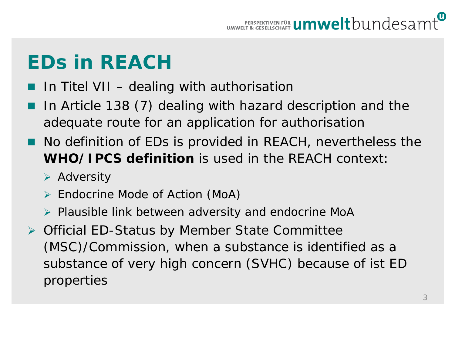# **EDs in REACH**

- In Titel VII dealing with authorisation
- In Article 138 (7) dealing with hazard description and the adequate route for an application for authorisation
- No definition of EDs is provided in REACH, nevertheless the **WHO/IPCS definition** is used in the REACH context:
	- $\triangleright$  Adversity
	- Endocrine Mode of Action (MoA)
	- $\triangleright$  Plausible link between adversity and endocrine MoA
- ▶ Official ED-Status by Member State Committee (MSC)/Commission, when a substance is identified as a substance of very high concern (SVHC) because of ist ED properties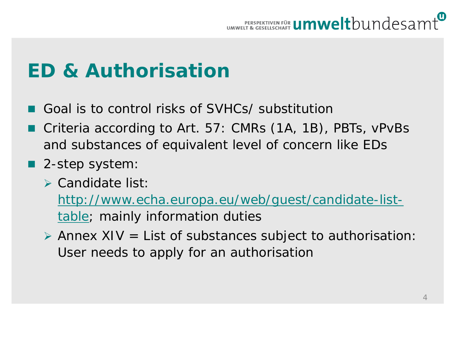

## **ED & Authorisation**

- Goal is to control risks of SVHCs/ substitution
- Criteria according to Art. 57: CMRs (1A, 1B), PBTs, vPvBs and substances of equivalent level of concern like EDs
- 2-step system:
	- $\triangleright$  Candidate list:

[http://www.echa.europa.eu/web/guest/candidate-list](http://www.echa.europa.eu/web/guest/candidate-list-table)[table](http://www.echa.europa.eu/web/guest/candidate-list-table); mainly information duties

 $\triangleright$  Annex XIV = List of substances subject to authorisation: User needs to apply for an authorisation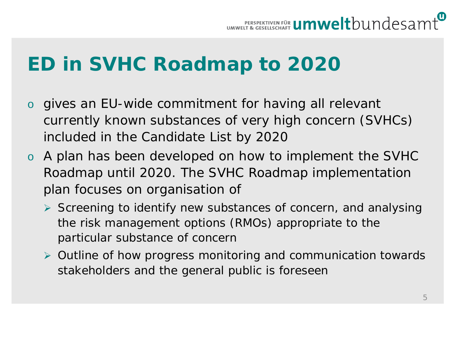# **ED in SVHC Roadmap to 2020**

- o gives an EU-wide commitment for having all relevant currently known substances of very high concern (SVHCs) included in the Candidate List by 2020
- o A plan has been developed on how to implement the SVHC Roadmap until 2020. The SVHC Roadmap implementation plan focuses on organisation of
	- $\triangleright$  Screening to identify new substances of concern, and analysing the risk management options (RMOs) appropriate to the particular substance of concern
	- Outline of how progress monitoring and communication towards stakeholders and the general public is foreseen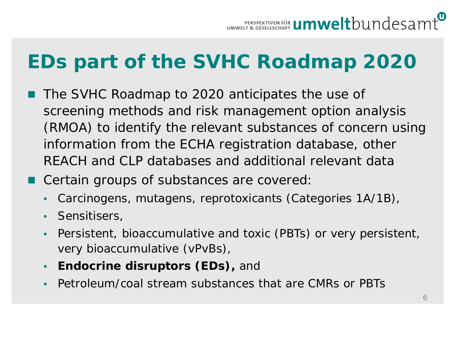# **EDs part of the SVHC Roadmap 2020**

- The SVHC Roadmap to 2020 anticipates the use of screening methods and risk management option analysis (RMOA) to identify the relevant substances of concern using information from the ECHA registration database, other REACH and CLP databases and additional relevant data
- Certain groups of substances are covered:
	- Carcinogens, mutagens, reprotoxicants (Categories 1A/1B),
	- Sensitisers,
	- Persistent, bioaccumulative and toxic (PBTs) or very persistent, very bioaccumulative (vPvBs),
	- **Endocrine disruptors (EDs),** and
	- Petroleum/coal stream substances that are CMRs or PBTs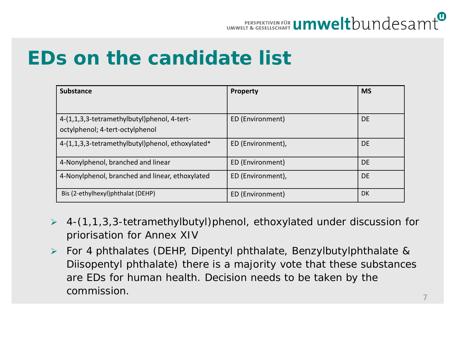

#### **EDs on the candidate list**

| <b>Substance</b>                                 | <b>Property</b>   | <b>MS</b> |
|--------------------------------------------------|-------------------|-----------|
|                                                  |                   |           |
| 4-(1,1,3,3-tetramethylbutyl)phenol, 4-tert-      | ED (Environment)  | <b>DE</b> |
| octylphenol; 4-tert-octylphenol                  |                   |           |
| 4-(1,1,3,3-tetramethylbutyl)phenol, ethoxylated* | ED (Environment), | <b>DE</b> |
| 4-Nonylphenol, branched and linear               | ED (Environment)  | <b>DE</b> |
| 4-Nonylphenol, branched and linear, ethoxylated  | ED (Environment), | <b>DE</b> |
| Bis (2-ethylhexyl)phthalat (DEHP)                | ED (Environment)  | DK        |

- $\geq 4-(1,1,3,3$ -tetramethylbutyl)phenol, ethoxylated under discussion for priorisation for Annex XIV
- For 4 phthalates (DEHP, Dipentyl phthalate, Benzylbutylphthalate & Diisopentyl phthalate) there is a majority vote that these substances are EDs for human health. Decision needs to be taken by the commission.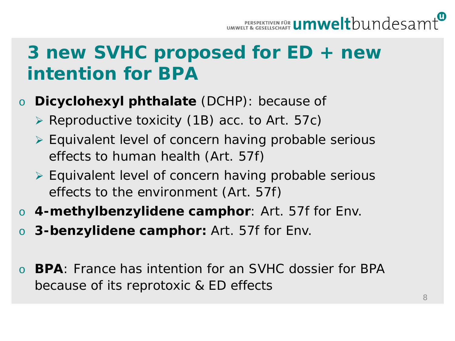

### **3 new SVHC proposed for ED + new intention for BPA**

- o **Dicyclohexyl phthalate** (DCHP): because of
	- $\triangleright$  Reproductive toxicity (1B) acc. to Art. 57c)
	- Equivalent level of concern having probable serious effects to human health (Art. 57f)
	- Equivalent level of concern having probable serious effects to the environment (Art. 57f)
- o **4-methylbenzylidene camphor**: Art. 57f for Env.
- o **3-benzylidene camphor:** Art. 57f for Env.
- **BPA**: France has intention for an SVHC dossier for BPA because of its reprotoxic & ED effects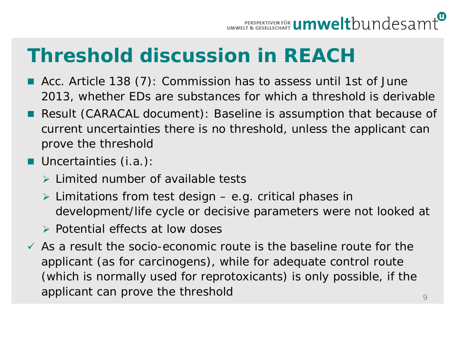

## **Threshold discussion in REACH**

- Acc. Article 138 (7): Commission has to assess until 1st of June 2013, whether EDs are substances for which a threshold is derivable
- Result (CARACAL document): Baseline is assumption that because of current uncertainties there is no threshold, unless the applicant can prove the threshold
- **Uncertainties (i.a.):** 
	- $\triangleright$  Limited number of available tests
	- $\triangleright$  Limitations from test design e.g. critical phases in development/life cycle or decisive parameters were not looked at
	- $\triangleright$  Potential effects at low doses
- $\checkmark$  As a result the socio-economic route is the baseline route for the applicant (as for carcinogens), while for adequate control route (which is normally used for reprotoxicants) is only possible, if the applicant can prove the threshold  $\overline{9}$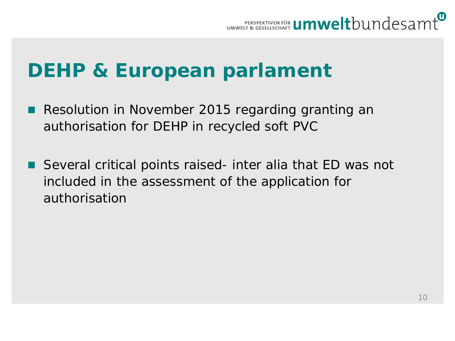

### **DEHP & European parlament**

- Resolution in November 2015 regarding granting an authorisation for DEHP in recycled soft PVC
- Several critical points raised- inter alia that ED was not included in the assessment of the application for authorisation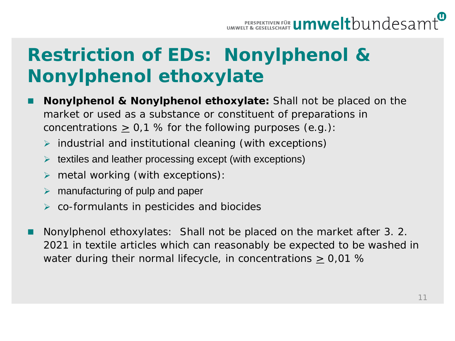## **Restriction of EDs: Nonylphenol & Nonylphenol ethoxylate**

- **Nonylphenol & Nonylphenol ethoxylate:** Shall not be placed on the market or used as a substance or constituent of preparations in concentrations  $\geq 0.1$  % for the following purposes (e.g.):
	- $\triangleright$  industrial and institutional cleaning (with exceptions)
	- $\triangleright$  textiles and leather processing except (with exceptions)
	- $\triangleright$  metal working (with exceptions):
	- $\triangleright$  manufacturing of pulp and paper
	- $\triangleright$  co-formulants in pesticides and biocides
- Nonylphenol ethoxylates: Shall not be placed on the market after 3. 2. 2021 in textile articles which can reasonably be expected to be washed in water during their normal lifecycle, in concentrations > 0,01 %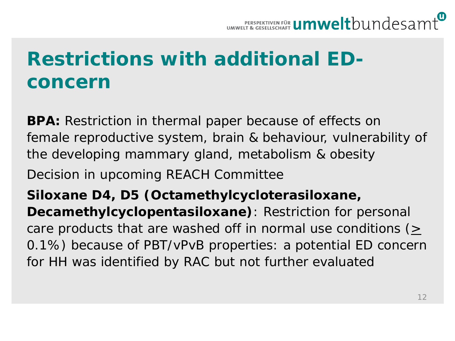

# **Restrictions with additional EDconcern**

**BPA:** Restriction in thermal paper because of effects on female reproductive system, brain & behaviour, vulnerability of the developing mammary gland, metabolism & obesity Decision in upcoming REACH Committee

**Siloxane D4, D5 (Octamethylcycloterasiloxane, Decamethylcyclopentasiloxane)**: Restriction for personal care products that are washed off in normal use conditions  $($ 0.1%) because of PBT/vPvB properties: a potential ED concern for HH was identified by RAC but not further evaluated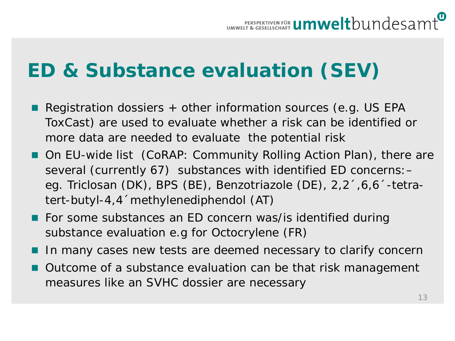# **ED & Substance evaluation (SEV)**

- Registration dossiers  $+$  other information sources (e.g. US EPA ToxCast) are used to evaluate whether a risk can be identified or more data are needed to evaluate the potential risk
- On EU-wide list (CoRAP: Community Rolling Action Plan), there are several (currently 67) substances with identified ED concerns:– eg. Triclosan (DK), BPS (BE), Benzotriazole (DE), 2,2´,6,6´-tetratert-butyl-4,4´methylenediphendol (AT)
- For some substances an ED concern was/is identified during substance evaluation e.g for Octocrylene (FR)
- In many cases new tests are deemed necessary to clarify concern
- **Outcome of a substance evaluation can be that risk management** measures like an SVHC dossier are necessary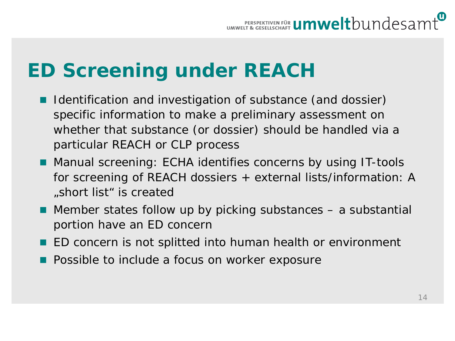

# **ED Screening under REACH**

- Identification and investigation of substance (and dossier) specific information to make a preliminary assessment on whether that substance (or dossier) should be handled via a particular REACH or CLP process
- Manual screening: ECHA identifies concerns by using IT-tools for screening of REACH dossiers + external lists/information: A "short list" is created
- Member states follow up by picking substances a substantial portion have an ED concern
- ED concern is not splitted into human health or environment
- **Possible to include a focus on worker exposure**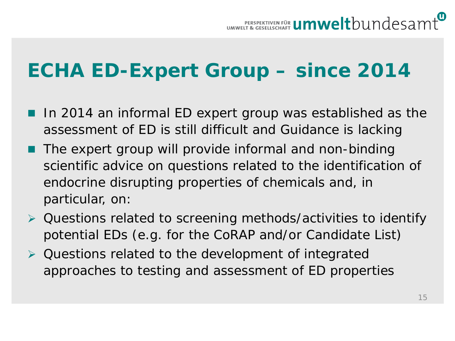

# **ECHA ED-Expert Group – since 2014**

- In 2014 an informal ED expert group was established as the assessment of ED is still difficult and Guidance is lacking
- The expert group will provide informal and non-binding scientific advice on questions related to the identification of endocrine disrupting properties of chemicals and, in particular, on:
- Questions related to screening methods/activities to identify potential EDs (e.g. for the CoRAP and/or Candidate List)
- **▶ Questions related to the development of integrated** approaches to testing and assessment of ED properties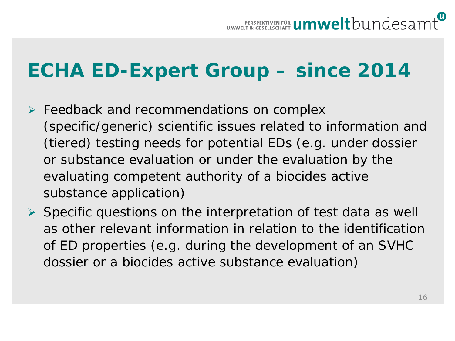

# **ECHA ED-Expert Group – since 2014**

- $\triangleright$  Feedback and recommendations on complex (specific/generic) scientific issues related to information and (tiered) testing needs for potential EDs (e.g. under dossier or substance evaluation or under the evaluation by the evaluating competent authority of a biocides active substance application)
- $\triangleright$  Specific questions on the interpretation of test data as well as other relevant information in relation to the identification of ED properties (e.g. during the development of an SVHC dossier or a biocides active substance evaluation)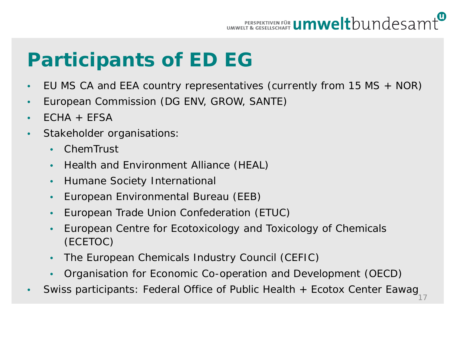

# **Participants of ED EG**

- EU MS CA and EEA country representatives (currently from 15 MS + NOR)
- European Commission (DG ENV, GROW, SANTE)
- $\cdot$  FCHA  $+$  FFSA
- Stakeholder organisations:
	- ChemTrust
	- Health and Environment Alliance (HEAL)
	- Humane Society International
	- European Environmental Bureau (EEB)
	- European Trade Union Confederation (ETUC)
	- European Centre for Ecotoxicology and Toxicology of Chemicals (ECETOC)
	- The European Chemicals Industry Council (CEFIC)
	- Organisation for Economic Co-operation and Development (OECD)
- Swiss participants: Federal Office of Public Health + Ecotox Center Eawag<sub>17</sub>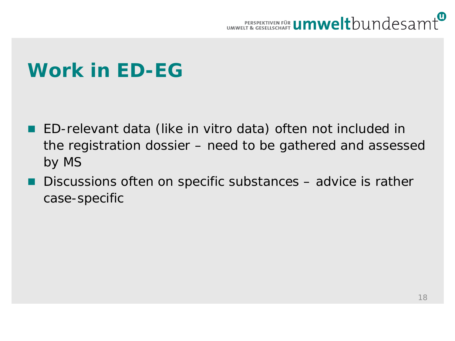

## **Work in ED-EG**

- ED-relevant data (like in vitro data) often not included in the registration dossier – need to be gathered and assessed by MS
- Discussions often on specific substances advice is rather case-specific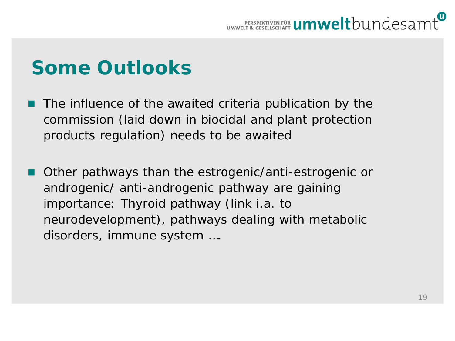

## **Some Outlooks**

- The influence of the awaited criteria publication by the commission (laid down in biocidal and plant protection products regulation) needs to be awaited
- Other pathways than the estrogenic/anti-estrogenic or androgenic/ anti-androgenic pathway are gaining importance: Thyroid pathway (link i.a. to neurodevelopment), pathways dealing with metabolic disorders, immune system ….